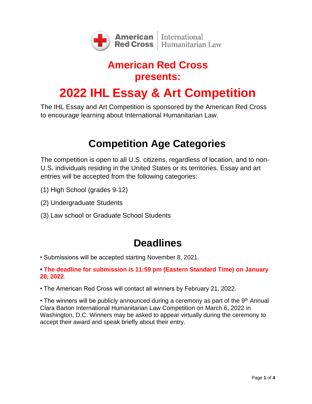

# **American Red Cross presents: 2022 IHL Essay & Art Competition**

The IHL Essay and Art Competition is sponsored by the American Red Cross to encourage learning about International Humanitarian Law.

#### **Competition Age Categories**

The competition is open to all U.S. citizens, regardless of location, and to non-U.S. individuals residing in the United States or its territories. Essay and art entries will be accepted from the following categories:

- (1) High School (grades 9-12)
- (2) Undergraduate Students
- (3) Law school or Graduate School Students

#### **Deadlines**

• Submissions will be accepted starting November 8, 2021.

#### **• The deadline for submission is 11:59 pm (Eastern Standard Time) on January 28, 2022**.

• The American Red Cross will contact all winners by February 21, 2022.

• The winners will be publicly announced during a ceremony as part of the 9<sup>th</sup> Annual Clara Barton International Humanitarian Law Competition on March 6, 2022 in Washington, D.C. Winners may be asked to appear virtually during the ceremony to accept their award and speak briefly about their entry.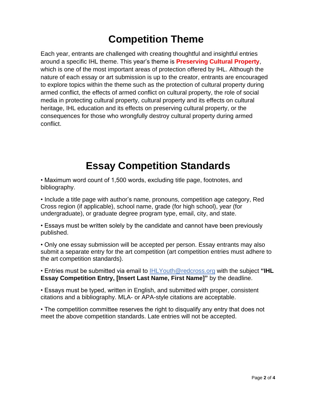## **Competition Theme**

Each year, entrants are challenged with creating thoughtful and insightful entries around a specific IHL theme. This year's theme is **Preserving Cultural Property**, which is one of the most important areas of protection offered by IHL. Although the nature of each essay or art submission is up to the creator, entrants are encouraged to explore topics within the theme such as the protection of cultural property during armed conflict, the effects of armed conflict on cultural property, the role of social media in protecting cultural property, cultural property and its effects on cultural heritage, IHL education and its effects on preserving cultural property, or the consequences for those who wrongfully destroy cultural property during armed conflict.

# **Essay Competition Standards**

• Maximum word count of 1,500 words, excluding title page, footnotes, and bibliography.

• Include a title page with author's name, pronouns, competition age category, Red Cross region (if applicable), school name, grade (for high school), year (for undergraduate), or graduate degree program type, email, city, and state.

• Essays must be written solely by the candidate and cannot have been previously published.

• Only one essay submission will be accepted per person. Essay entrants may also submit a separate entry for the art competition (art competition entries must adhere to the art competition standards).

• Entries must be submitted via email to [IHLYouth@redcross.org](mailto:ailto:ailto:IHLaw@redcross.org) with the subject **"IHL Essay Competition Entry, [Insert Last Name, First Name]"** by the deadline.

• Essays must be typed, written in English, and submitted with proper, consistent citations and a bibliography. MLA- or APA-style citations are acceptable.

• The competition committee reserves the right to disqualify any entry that does not meet the above competition standards. Late entries will not be accepted.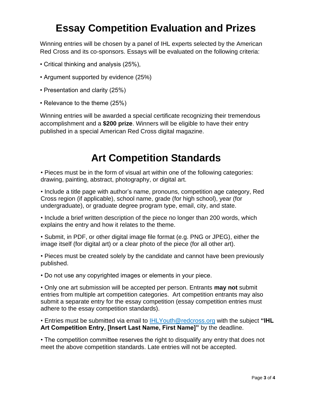## **Essay Competition Evaluation and Prizes**

Winning entries will be chosen by a panel of IHL experts selected by the American Red Cross and its co-sponsors. Essays will be evaluated on the following criteria:

- Critical thinking and analysis (25%),
- Argument supported by evidence (25%)
- Presentation and clarity (25%)
- Relevance to the theme (25%)

Winning entries will be awarded a special certificate recognizing their tremendous accomplishment and a **\$200 prize**. Winners will be eligible to have their entry published in a special American Red Cross digital magazine.

#### **Art Competition Standards**

• Pieces must be in the form of visual art within one of the following categories: drawing, painting, abstract, photography, or digital art.

• Include a title page with author's name, pronouns, competition age category, Red Cross region (if applicable), school name, grade (for high school), year (for undergraduate), or graduate degree program type, email, city, and state.

• Include a brief written description of the piece no longer than 200 words, which explains the entry and how it relates to the theme.

• Submit, in PDF, or other digital image file format (e.g. PNG or JPEG), either the image itself (for digital art) or a clear photo of the piece (for all other art).

• Pieces must be created solely by the candidate and cannot have been previously published.

• Do not use any copyrighted images or elements in your piece.

• Only one art submission will be accepted per person. Entrants **may not** submit entries from multiple art competition categories. Art competition entrants may also submit a separate entry for the essay competition (essay competition entries must adhere to the essay competition standards).

• Entries must be submitted via email to [IHLYouth@redcross.org](mailto:ailto:ailto:IHLaw@redcross.org) with the subject **"IHL Art Competition Entry, [Insert Last Name, First Name]"** by the deadline.

• The competition committee reserves the right to disqualify any entry that does not meet the above competition standards. Late entries will not be accepted.